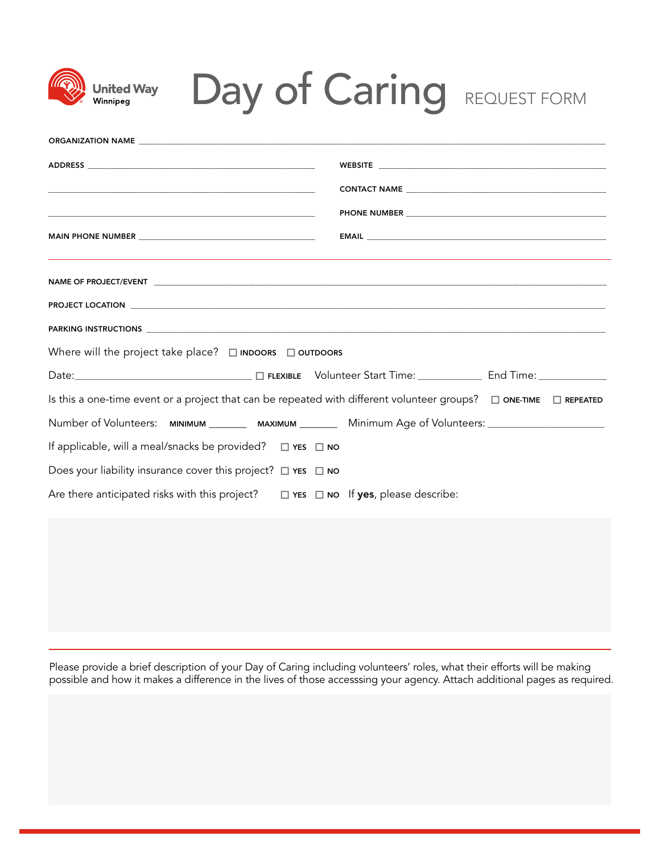| <b>United Wav</b><br>Winnipea                                                                                               | <b>Day of Caring REQUEST FORM</b> |
|-----------------------------------------------------------------------------------------------------------------------------|-----------------------------------|
|                                                                                                                             |                                   |
|                                                                                                                             |                                   |
|                                                                                                                             |                                   |
|                                                                                                                             |                                   |
|                                                                                                                             |                                   |
|                                                                                                                             |                                   |
|                                                                                                                             |                                   |
|                                                                                                                             |                                   |
|                                                                                                                             |                                   |
| Where will the project take place? $\Box$ INDOORS $\Box$ OUTDOORS                                                           |                                   |
|                                                                                                                             |                                   |
| Is this a one-time event or a project that can be repeated with different volunteer groups? $\Box$ ONE-TIME $\Box$ REPEATED |                                   |
| Number of Volunteers: MINIMUM _______ MAXIMUM _______ Minimum Age of Volunteers: __________________                         |                                   |
| If applicable, will a meal/snacks be provided? □ YES □ NO                                                                   |                                   |
| Does your liability insurance cover this project? $\Box$ YES $\Box$ NO                                                      |                                   |
| Are there anticipated risks with this project? $\Box$ YES $\Box$ NO If yes, please describe:                                |                                   |

Please provide a brief description of your Day of Caring including volunteers' roles, what their efforts will be making possible and how it makes a difference in the lives of those accesssing your agency. Attach additional pages as required.